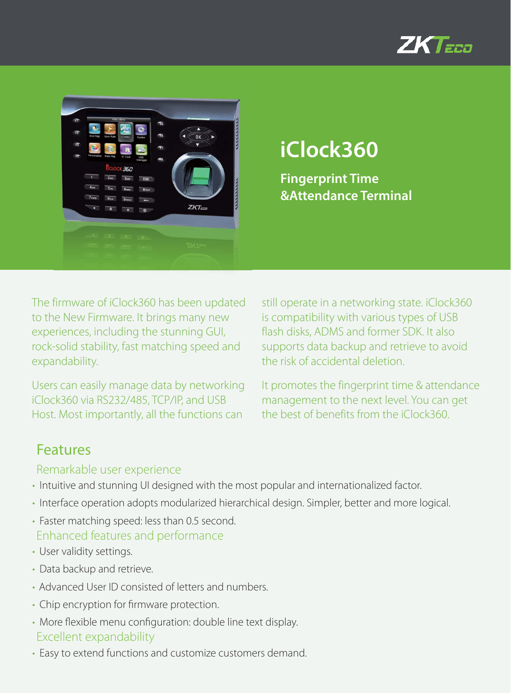



# **iClock360**

**Fingerprint Time &Attendance Terminal**

The firmware of iClock360 has been updated to the New Firmware. It brings many new experiences, including the stunning GUI, rock-solid stability, fast matching speed and expandability.

Users can easily manage data by networking iClock360 via RS232/485, TCP/IP, and USB Host. Most importantly, all the functions can

still operate in a networking state. iClock360 is compatibility with various types of USB flash disks, ADMS and former SDK. It also supports data backup and retrieve to avoid the risk of accidental deletion.

It promotes the fingerprint time & attendance management to the next level. You can get the best of benefits from the iClock360.

### Features

#### Remarkable user experience

- Intuitive and stunning UI designed with the most popular and internationalized factor.
- Interface operation adopts modularized hierarchical design. Simpler, better and more logical.
- Faster matching speed: less than 0.5 second. Enhanced features and performance
- User validity settings.
- Data backup and retrieve.
- Advanced User ID consisted of letters and numbers.
- Chip encryption for firmware protection.
- More flexible menu configuration: double line text display. Excellent expandability
- Easy to extend functions and customize customers demand.